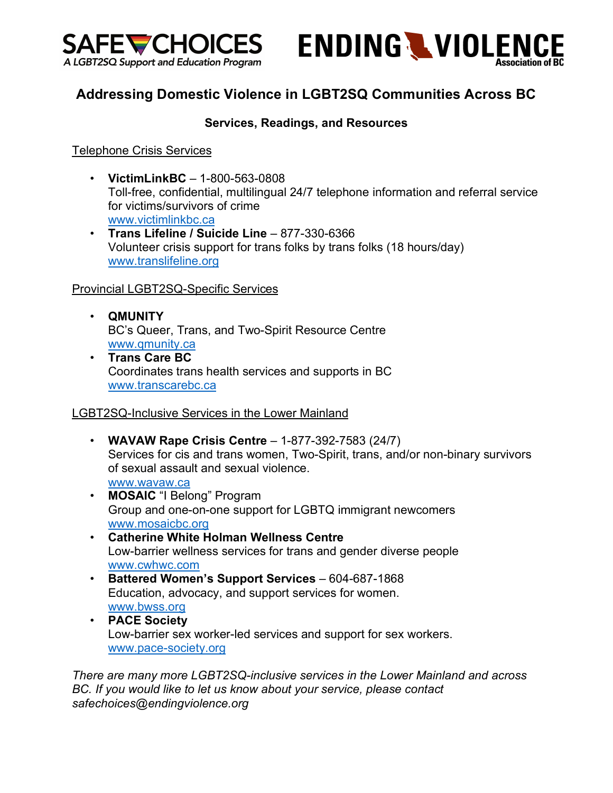



# **Addressing Domestic Violence in LGBT2SQ Communities Across BC**

## **Services, Readings, and Resources**

Telephone Crisis Services

- **VictimLinkBC**  1-800-563-0808 Toll-free, confidential, multilingual 24/7 telephone information and referral service for victims/survivors of crime www.victimlinkbc.ca
- **Trans Lifeline / Suicide Line** 877-330-6366 Volunteer crisis support for trans folks by trans folks (18 hours/day) www.translifeline.org

## Provincial LGBT2SQ-Specific Services

- **QMUNITY** BC's Queer, Trans, and Two-Spirit Resource Centre www.qmunity.ca
- **Trans Care BC** Coordinates trans health services and supports in BC www.transcarebc.ca

#### LGBT2SQ-Inclusive Services in the Lower Mainland

- **WAVAW Rape Crisis Centre** 1-877-392-7583 (24/7) Services for cis and trans women, Two-Spirit, trans, and/or non-binary survivors of sexual assault and sexual violence. www.wavaw.ca
- **MOSAIC** "I Belong" Program Group and one-on-one support for LGBTQ immigrant newcomers www.mosaicbc.org
- **Catherine White Holman Wellness Centre** Low-barrier wellness services for trans and gender diverse people www.cwhwc.com
- **Battered Women's Support Services** 604-687-1868 Education, advocacy, and support services for women. www.bwss.org
- **PACE Society** Low-barrier sex worker-led services and support for sex workers. www.pace-society.org

*There are many more LGBT2SQ-inclusive services in the Lower Mainland and across BC. If you would like to let us know about your service, please contact safechoices@endingviolence.org*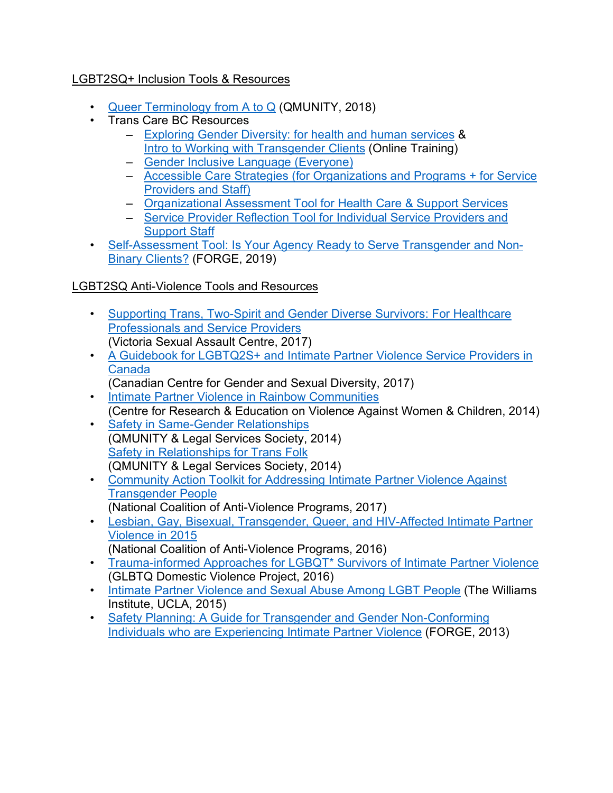# LGBT2SQ+ Inclusion Tools & Resources

- Queer Terminology from A to Q (QMUNITY, 2018)
- Trans Care BC Resources
	- Exploring Gender Diversity: for health and human services & Intro to Working with Transgender Clients (Online Training)
	- Gender Inclusive Language (Everyone)
	- Accessible Care Strategies (for Organizations and Programs + for Service Providers and Staff)
	- Organizational Assessment Tool for Health Care & Support Services
	- Service Provider Reflection Tool for Individual Service Providers and Support Staff
- Self-Assessment Tool: Is Your Agency Ready to Serve Transgender and Non-Binary Clients? (FORGE, 2019)

## LGBT2SQ Anti-Violence Tools and Resources

- Supporting Trans, Two-Spirit and Gender Diverse Survivors: For Healthcare Professionals and Service Providers (Victoria Sexual Assault Centre, 2017)
- A Guidebook for LGBTQ2S+ and Intimate Partner Violence Service Providers in Canada
	- (Canadian Centre for Gender and Sexual Diversity, 2017)
- Intimate Partner Violence in Rainbow Communities (Centre for Research & Education on Violence Against Women & Children, 2014)
- Safety in Same-Gender Relationships (QMUNITY & Legal Services Society, 2014) Safety in Relationships for Trans Folk (QMUNITY & Legal Services Society, 2014)
- Community Action Toolkit for Addressing Intimate Partner Violence Against Transgender People (National Coalition of Anti-Violence Programs, 2017)
- Lesbian, Gay, Bisexual, Transgender, Queer, and HIV-Affected Intimate Partner Violence in 2015
	- (National Coalition of Anti-Violence Programs, 2016)
- Trauma-informed Approaches for LGBQT\* Survivors of Intimate Partner Violence (GLBTQ Domestic Violence Project, 2016)
- Intimate Partner Violence and Sexual Abuse Among LGBT People (The Williams Institute, UCLA, 2015)
- Safety Planning: A Guide for Transgender and Gender Non-Conforming Individuals who are Experiencing Intimate Partner Violence (FORGE, 2013)